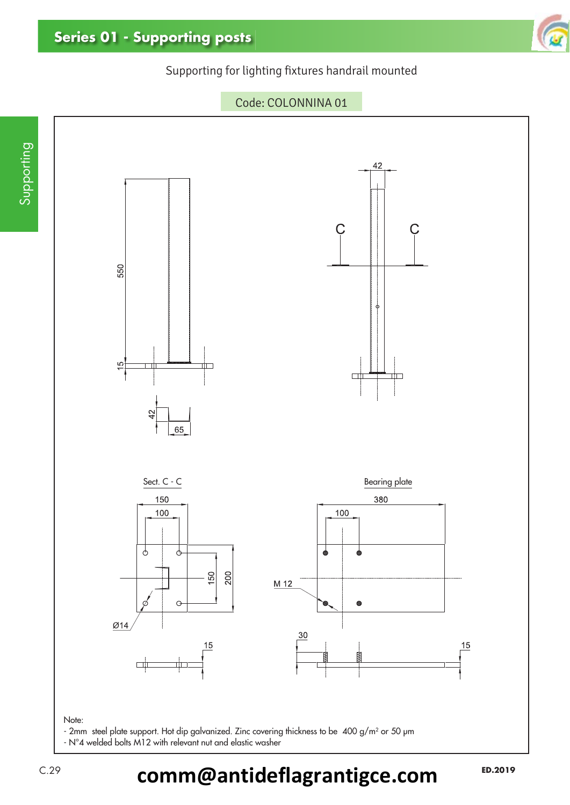### Supporting for lighting fixtures handrail mounted



Code: COLONNINA 01

C.29 **ED.2019 comm@antideflagrantigce.com**

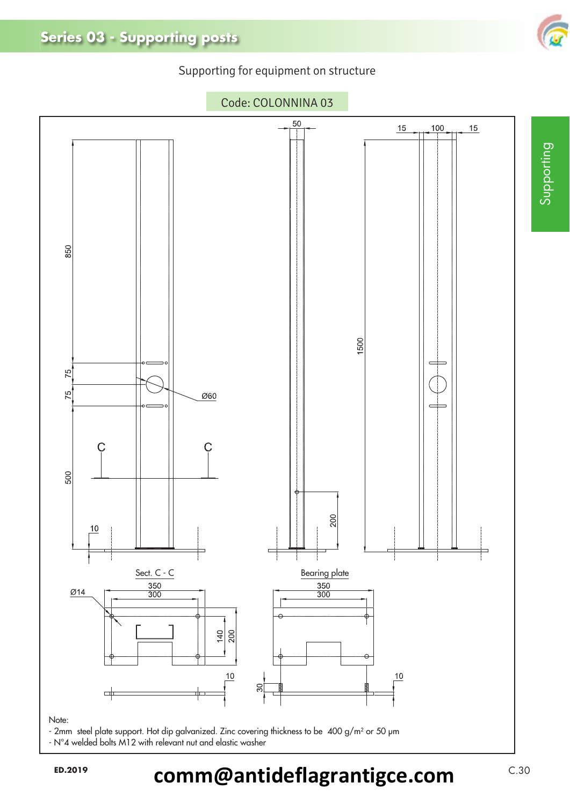### Supporting for equipment on structure



- 2mm steel plate support. Hot dip galvanized. Zinc covering thickness to be 400 g/m2 or 50 μm - N°4 welded bolts M12 with relevant nut and elastic washer

ED.2019 **comm@antideflagrantigce.com**  $C.30$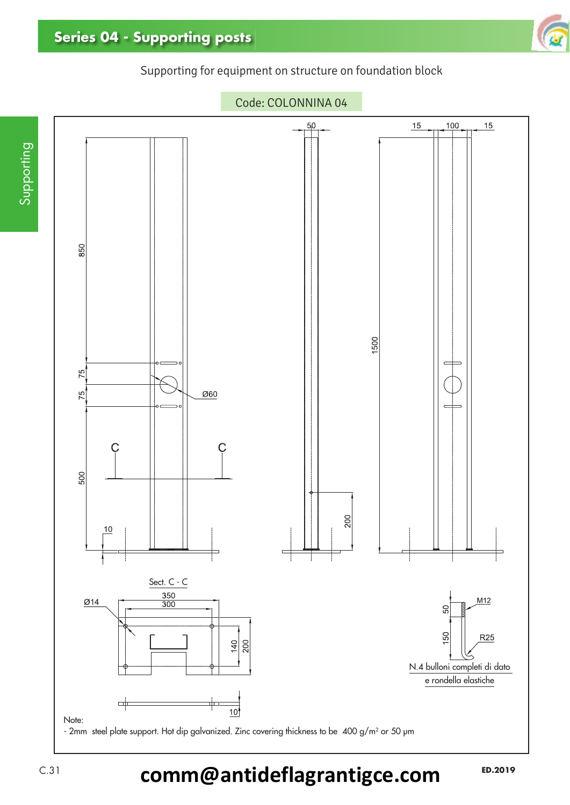### Supporting for equipment on structure on foundation block



## C.31 **ED.2019 comm@antideflagrantigce.com**

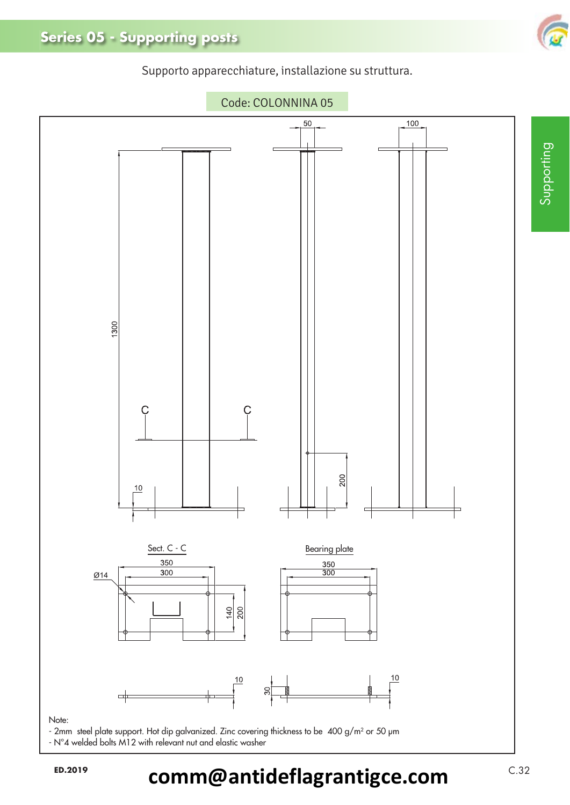

Supporto apparecchiature, installazione su struttura.



- N°4 welded bolts M12 with relevant nut and elastic washer

ED.2019 **comm@antideflagrantigce.com**  $C.32$ 



Supporting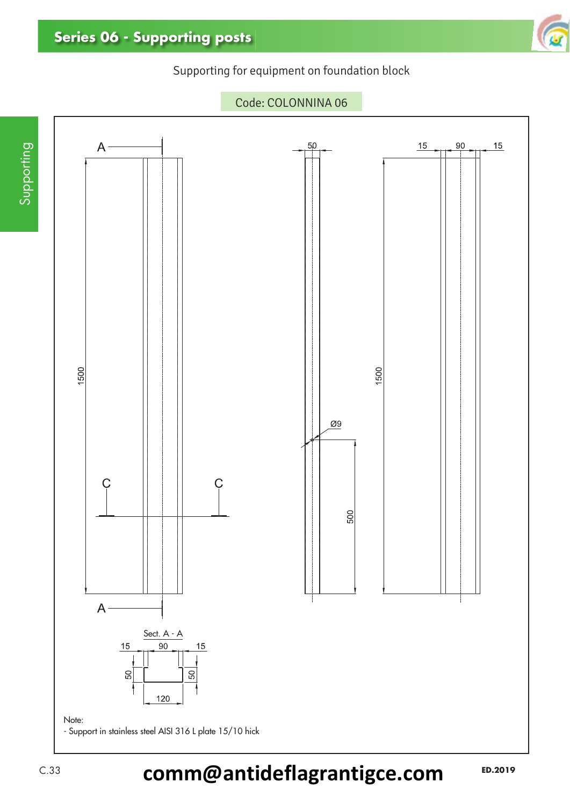Supporting for equipment on foundation block



C.33 **ED.2019 comm@antideflagrantigce.com**